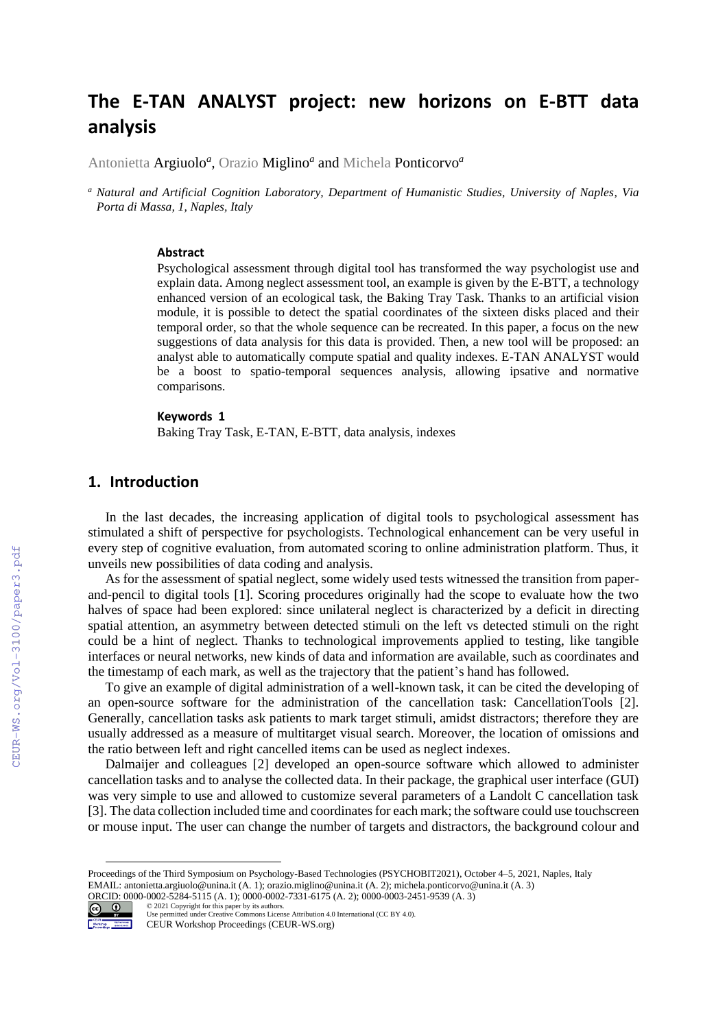# **The E-TAN ANALYST project: new horizons on E-BTT data analysis**

Antonietta Argiuolo*<sup>a</sup> ,* Orazio Miglino*<sup>a</sup>* and Michela Ponticorvo*<sup>a</sup>*

*<sup>a</sup> Natural and Artificial Cognition Laboratory, Department of Humanistic Studies, University of Naples, Via Porta di Massa, 1, Naples, Italy*

#### **Abstract**

Psychological assessment through digital tool has transformed the way psychologist use and explain data. Among neglect assessment tool, an example is given by the E-BTT, a technology enhanced version of an ecological task, the Baking Tray Task. Thanks to an artificial vision module, it is possible to detect the spatial coordinates of the sixteen disks placed and their temporal order, so that the whole sequence can be recreated. In this paper, a focus on the new suggestions of data analysis for this data is provided. Then, a new tool will be proposed: an analyst able to automatically compute spatial and quality indexes. E-TAN ANALYST would be a boost to spatio-temporal sequences analysis, allowing ipsative and normative comparisons.

#### **Keywords 1**

Baking Tray Task, E-TAN, E-BTT, data analysis, indexes

#### **1. Introduction**

In the last decades, the increasing application of digital tools to psychological assessment has stimulated a shift of perspective for psychologists. Technological enhancement can be very useful in every step of cognitive evaluation, from automated scoring to online administration platform. Thus, it unveils new possibilities of data coding and analysis.

As for the assessment of spatial neglect, some widely used tests witnessed the transition from paperand-pencil to digital tools [1]. Scoring procedures originally had the scope to evaluate how the two halves of space had been explored: since unilateral neglect is characterized by a deficit in directing spatial attention, an asymmetry between detected stimuli on the left vs detected stimuli on the right could be a hint of neglect. Thanks to technological improvements applied to testing, like tangible interfaces or neural networks, new kinds of data and information are available, such as coordinates and the timestamp of each mark, as well as the trajectory that the patient's hand has followed.

To give an example of digital administration of a well-known task, it can be cited the developing of an open-source software for the administration of the cancellation task: CancellationTools [2]. Generally, cancellation tasks ask patients to mark target stimuli, amidst distractors; therefore they are usually addressed as a measure of multitarget visual search. Moreover, the location of omissions and the ratio between left and right cancelled items can be used as neglect indexes.

Dalmaijer and colleagues [2] developed an open-source software which allowed to administer cancellation tasks and to analyse the collected data. In their package, the graphical user interface (GUI) was very simple to use and allowed to customize several parameters of a Landolt C cancellation task [3]. The data collection included time and coordinates for each mark; the software could use touchscreen or mouse input. The user can change the number of targets and distractors, the background colour and

ORCID: 0000-0002-5284-5115 (A. 1); 0000-0002-7331-6175 (A. 2); 0000-0003-2451-9539 (A. 3) ©️ 2021 Copyright for this paper by its authors.



Use permitted under Creative Commons License Attribution 4.0 International (CC BY 4.0). CEUR Workshop Proceedings (CEUR-WS.org)

Proceedings of the Third Symposium on Psychology-Based Technologies (PSYCHOBIT2021), October 4–5, 2021, Naples, Italy EMAIL: antonietta.argiuolo@unina.it (A. 1); orazio.miglino@unina.it (A. 2); michela.ponticorvo@unina.it (A. 3)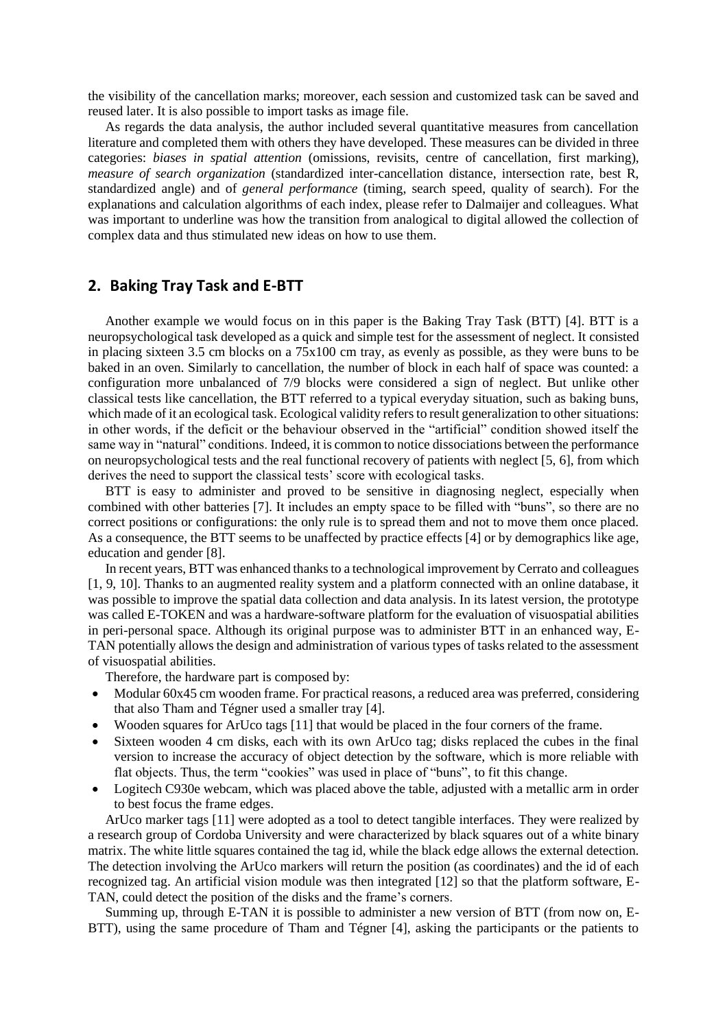the visibility of the cancellation marks; moreover, each session and customized task can be saved and reused later. It is also possible to import tasks as image file.

As regards the data analysis, the author included several quantitative measures from cancellation literature and completed them with others they have developed. These measures can be divided in three categories: *biases in spatial attention* (omissions, revisits, centre of cancellation, first marking), *measure of search organization* (standardized inter-cancellation distance, intersection rate, best R, standardized angle) and of *general performance* (timing, search speed, quality of search). For the explanations and calculation algorithms of each index, please refer to Dalmaijer and colleagues. What was important to underline was how the transition from analogical to digital allowed the collection of complex data and thus stimulated new ideas on how to use them.

### **2. Baking Tray Task and E-BTT**

Another example we would focus on in this paper is the Baking Tray Task (BTT) [4]. BTT is a neuropsychological task developed as a quick and simple test for the assessment of neglect. It consisted in placing sixteen 3.5 cm blocks on a 75x100 cm tray, as evenly as possible, as they were buns to be baked in an oven. Similarly to cancellation, the number of block in each half of space was counted: a configuration more unbalanced of 7/9 blocks were considered a sign of neglect. But unlike other classical tests like cancellation, the BTT referred to a typical everyday situation, such as baking buns, which made of it an ecological task. Ecological validity refers to result generalization to other situations: in other words, if the deficit or the behaviour observed in the "artificial" condition showed itself the same way in "natural" conditions. Indeed, it is common to notice dissociations between the performance on neuropsychological tests and the real functional recovery of patients with neglect [5, 6], from which derives the need to support the classical tests' score with ecological tasks.

BTT is easy to administer and proved to be sensitive in diagnosing neglect, especially when combined with other batteries [7]. It includes an empty space to be filled with "buns", so there are no correct positions or configurations: the only rule is to spread them and not to move them once placed. As a consequence, the BTT seems to be unaffected by practice effects [4] or by demographics like age, education and gender [8].

In recent years, BTT was enhanced thanks to a technological improvement by Cerrato and colleagues [1, 9, 10]. Thanks to an augmented reality system and a platform connected with an online database, it was possible to improve the spatial data collection and data analysis. In its latest version, the prototype was called E-TOKEN and was a hardware-software platform for the evaluation of visuospatial abilities in peri-personal space. Although its original purpose was to administer BTT in an enhanced way, E-TAN potentially allows the design and administration of various types of tasks related to the assessment of visuospatial abilities.

Therefore, the hardware part is composed by:

- Modular 60x45 cm wooden frame. For practical reasons, a reduced area was preferred, considering that also Tham and Tégner used a smaller tray [4].
- Wooden squares for ArUco tags [11] that would be placed in the four corners of the frame.
- Sixteen wooden 4 cm disks, each with its own ArUco tag; disks replaced the cubes in the final version to increase the accuracy of object detection by the software, which is more reliable with flat objects. Thus, the term "cookies" was used in place of "buns", to fit this change.
- Logitech C930e webcam, which was placed above the table, adjusted with a metallic arm in order to best focus the frame edges.

ArUco marker tags [11] were adopted as a tool to detect tangible interfaces. They were realized by a research group of Cordoba University and were characterized by black squares out of a white binary matrix. The white little squares contained the tag id, while the black edge allows the external detection. The detection involving the ArUco markers will return the position (as coordinates) and the id of each recognized tag. An artificial vision module was then integrated [12] so that the platform software, E-TAN, could detect the position of the disks and the frame's corners.

Summing up, through E-TAN it is possible to administer a new version of BTT (from now on, E-BTT), using the same procedure of Tham and Tégner [4], asking the participants or the patients to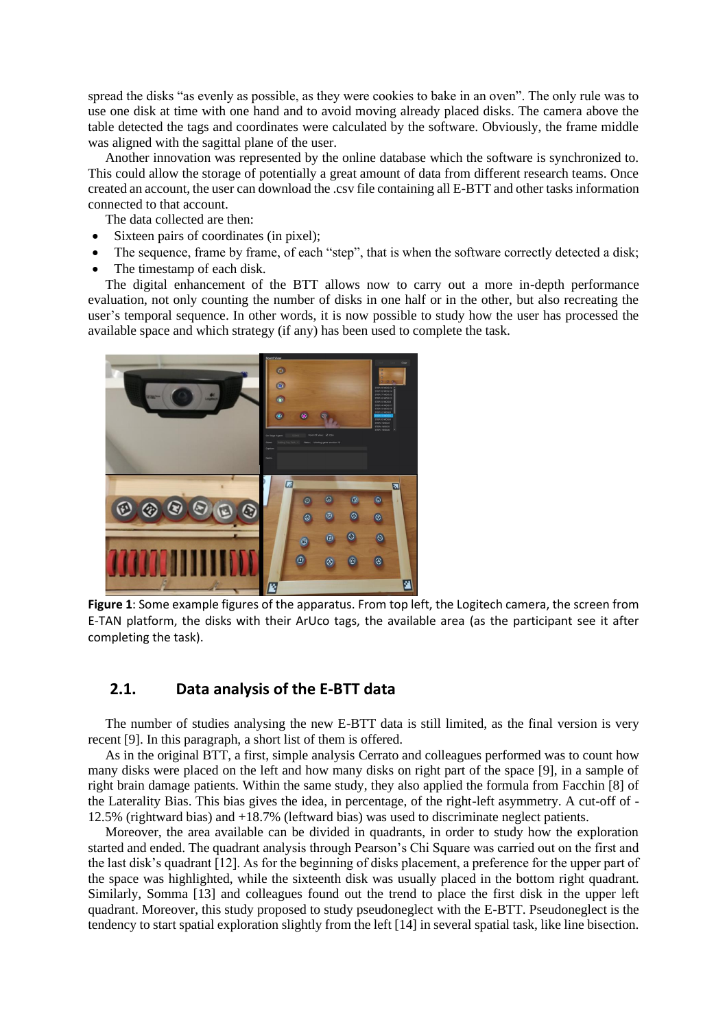spread the disks "as evenly as possible, as they were cookies to bake in an oven". The only rule was to use one disk at time with one hand and to avoid moving already placed disks. The camera above the table detected the tags and coordinates were calculated by the software. Obviously, the frame middle was aligned with the sagittal plane of the user.

Another innovation was represented by the online database which the software is synchronized to. This could allow the storage of potentially a great amount of data from different research teams. Once created an account, the user can download the .csv file containing all E-BTT and other tasks information connected to that account.

The data collected are then:

- Sixteen pairs of coordinates (in pixel);
- The sequence, frame by frame, of each "step", that is when the software correctly detected a disk;
- The timestamp of each disk.

The digital enhancement of the BTT allows now to carry out a more in-depth performance evaluation, not only counting the number of disks in one half or in the other, but also recreating the user's temporal sequence. In other words, it is now possible to study how the user has processed the available space and which strategy (if any) has been used to complete the task.



**Figure 1**: Some example figures of the apparatus. From top left, the Logitech camera, the screen from E-TAN platform, the disks with their ArUco tags, the available area (as the participant see it after completing the task).

## **2.1. Data analysis of the E-BTT data**

The number of studies analysing the new E-BTT data is still limited, as the final version is very recent [9]. In this paragraph, a short list of them is offered.

As in the original BTT, a first, simple analysis Cerrato and colleagues performed was to count how many disks were placed on the left and how many disks on right part of the space [9], in a sample of right brain damage patients. Within the same study, they also applied the formula from Facchin [8] of the Laterality Bias. This bias gives the idea, in percentage, of the right-left asymmetry. A cut-off of - 12.5% (rightward bias) and +18.7% (leftward bias) was used to discriminate neglect patients.

Moreover, the area available can be divided in quadrants, in order to study how the exploration started and ended. The quadrant analysis through Pearson's Chi Square was carried out on the first and the last disk's quadrant [12]. As for the beginning of disks placement, a preference for the upper part of the space was highlighted, while the sixteenth disk was usually placed in the bottom right quadrant. Similarly, Somma [13] and colleagues found out the trend to place the first disk in the upper left quadrant. Moreover, this study proposed to study pseudoneglect with the E-BTT. Pseudoneglect is the tendency to start spatial exploration slightly from the left [14] in several spatial task, like line bisection.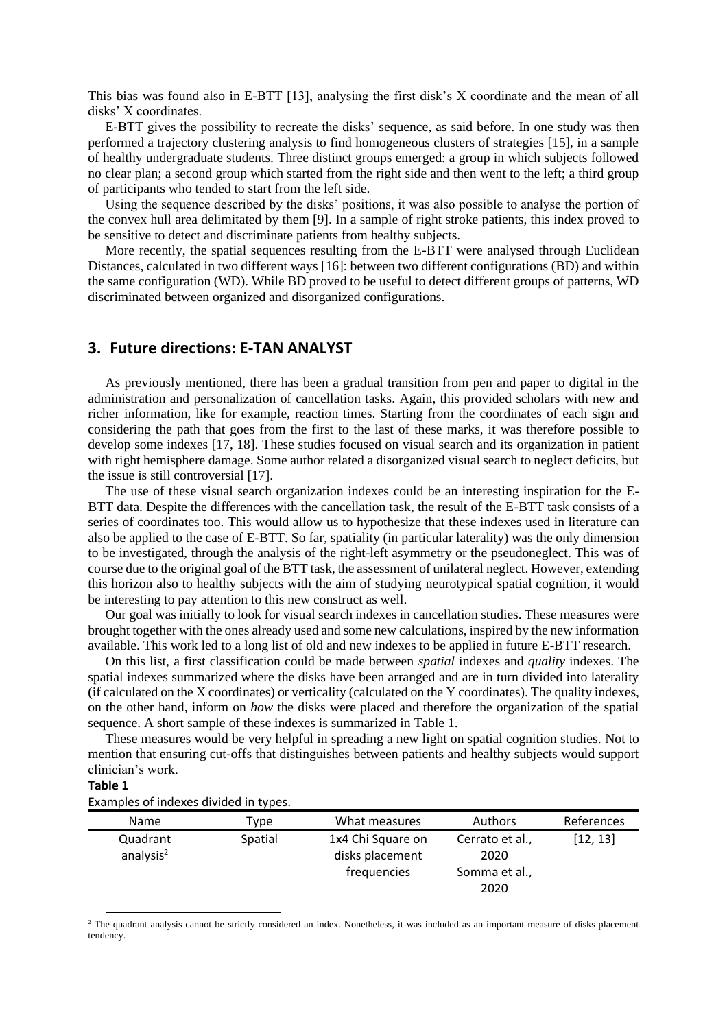This bias was found also in E-BTT [13], analysing the first disk's X coordinate and the mean of all disks' X coordinates.

E-BTT gives the possibility to recreate the disks' sequence, as said before. In one study was then performed a trajectory clustering analysis to find homogeneous clusters of strategies [15], in a sample of healthy undergraduate students. Three distinct groups emerged: a group in which subjects followed no clear plan; a second group which started from the right side and then went to the left; a third group of participants who tended to start from the left side.

Using the sequence described by the disks' positions, it was also possible to analyse the portion of the convex hull area delimitated by them [9]. In a sample of right stroke patients, this index proved to be sensitive to detect and discriminate patients from healthy subjects.

More recently, the spatial sequences resulting from the E-BTT were analysed through Euclidean Distances, calculated in two different ways [16]: between two different configurations (BD) and within the same configuration (WD). While BD proved to be useful to detect different groups of patterns, WD discriminated between organized and disorganized configurations.

### **3. Future directions: E-TAN ANALYST**

As previously mentioned, there has been a gradual transition from pen and paper to digital in the administration and personalization of cancellation tasks. Again, this provided scholars with new and richer information, like for example, reaction times. Starting from the coordinates of each sign and considering the path that goes from the first to the last of these marks, it was therefore possible to develop some indexes [17, 18]. These studies focused on visual search and its organization in patient with right hemisphere damage. Some author related a disorganized visual search to neglect deficits, but the issue is still controversial [17].

The use of these visual search organization indexes could be an interesting inspiration for the E-BTT data. Despite the differences with the cancellation task, the result of the E-BTT task consists of a series of coordinates too. This would allow us to hypothesize that these indexes used in literature can also be applied to the case of E-BTT. So far, spatiality (in particular laterality) was the only dimension to be investigated, through the analysis of the right-left asymmetry or the pseudoneglect. This was of course due to the original goal of the BTT task, the assessment of unilateral neglect. However, extending this horizon also to healthy subjects with the aim of studying neurotypical spatial cognition, it would be interesting to pay attention to this new construct as well.

Our goal was initially to look for visual search indexes in cancellation studies. These measures were brought together with the ones already used and some new calculations, inspired by the new information available. This work led to a long list of old and new indexes to be applied in future E-BTT research.

On this list, a first classification could be made between *spatial* indexes and *quality* indexes. The spatial indexes summarized where the disks have been arranged and are in turn divided into laterality (if calculated on the X coordinates) or verticality (calculated on the Y coordinates). The quality indexes, on the other hand, inform on *how* the disks were placed and therefore the organization of the spatial sequence. A short sample of these indexes is summarized in Table 1.

These measures would be very helpful in spreading a new light on spatial cognition studies. Not to mention that ensuring cut-offs that distinguishes between patients and healthy subjects would support clinician's work.

#### **Table 1**

Examples of indexes divided in types.

| <b>Name</b>              | Type    | What measures                        | <b>Authors</b>          | References |
|--------------------------|---------|--------------------------------------|-------------------------|------------|
| Quadrant<br>analysis $2$ | Spatial | 1x4 Chi Square on<br>disks placement | Cerrato et al.,<br>2020 | [12, 13]   |
|                          |         | frequencies                          | Somma et al.,           |            |
|                          |         |                                      | 2020                    |            |

<sup>2</sup> The quadrant analysis cannot be strictly considered an index. Nonetheless, it was included as an important measure of disks placement tendency.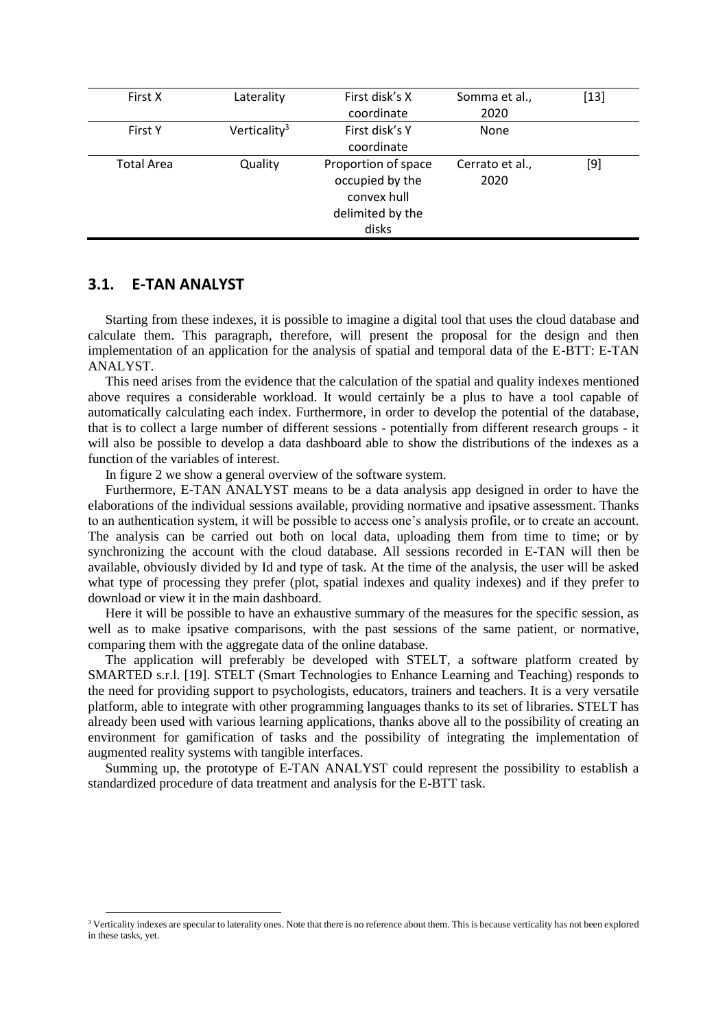| First X           | Laterality               | First disk's X      | Somma et al.,   | $[13]$ |
|-------------------|--------------------------|---------------------|-----------------|--------|
|                   |                          | coordinate          | 2020            |        |
| <b>First Y</b>    | Verticality <sup>3</sup> | First disk's Y      | None            |        |
|                   |                          | coordinate          |                 |        |
| <b>Total Area</b> | Quality                  | Proportion of space | Cerrato et al., | [9]    |
|                   |                          | occupied by the     | 2020            |        |
|                   |                          | convex hull         |                 |        |
|                   |                          | delimited by the    |                 |        |
|                   |                          | disks               |                 |        |

#### **3.1. E-TAN ANALYST**

Starting from these indexes, it is possible to imagine a digital tool that uses the cloud database and calculate them. This paragraph, therefore, will present the proposal for the design and then implementation of an application for the analysis of spatial and temporal data of the E-BTT: E-TAN ANALYST.

This need arises from the evidence that the calculation of the spatial and quality indexes mentioned above requires a considerable workload. It would certainly be a plus to have a tool capable of automatically calculating each index. Furthermore, in order to develop the potential of the database, that is to collect a large number of different sessions - potentially from different research groups - it will also be possible to develop a data dashboard able to show the distributions of the indexes as a function of the variables of interest.

In figure 2 we show a general overview of the software system.

Furthermore, E-TAN ANALYST means to be a data analysis app designed in order to have the elaborations of the individual sessions available, providing normative and ipsative assessment. Thanks to an authentication system, it will be possible to access one's analysis profile, or to create an account. The analysis can be carried out both on local data, uploading them from time to time; or by synchronizing the account with the cloud database. All sessions recorded in E-TAN will then be available, obviously divided by Id and type of task. At the time of the analysis, the user will be asked what type of processing they prefer (plot, spatial indexes and quality indexes) and if they prefer to download or view it in the main dashboard.

Here it will be possible to have an exhaustive summary of the measures for the specific session, as well as to make ipsative comparisons, with the past sessions of the same patient, or normative, comparing them with the aggregate data of the online database.

The application will preferably be developed with STELT, a software platform created by SMARTED s.r.l. [19]. STELT (Smart Technologies to Enhance Learning and Teaching) responds to the need for providing support to psychologists, educators, trainers and teachers. It is a very versatile platform, able to integrate with other programming languages thanks to its set of libraries. STELT has already been used with various learning applications, thanks above all to the possibility of creating an environment for gamification of tasks and the possibility of integrating the implementation of augmented reality systems with tangible interfaces.

Summing up, the prototype of E-TAN ANALYST could represent the possibility to establish a standardized procedure of data treatment and analysis for the E-BTT task.

<sup>&</sup>lt;sup>3</sup> Verticality indexes are specular to laterality ones. Note that there is no reference about them. This is because verticality has not been explored in these tasks, yet.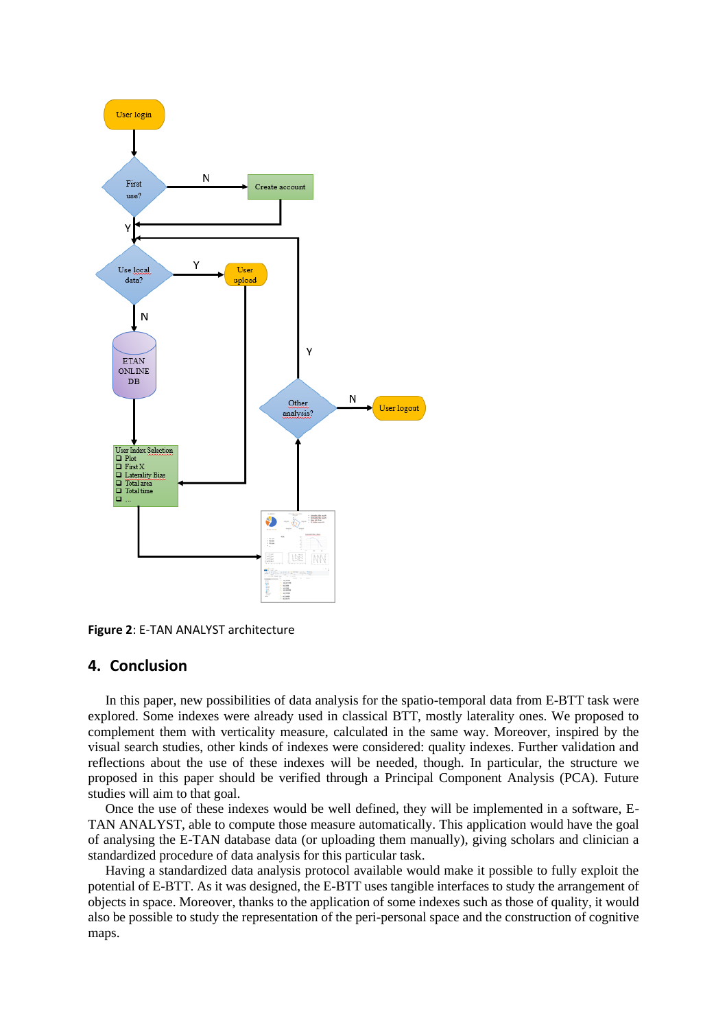

**Figure 2**: E-TAN ANALYST architecture

#### **4. Conclusion**

In this paper, new possibilities of data analysis for the spatio-temporal data from E-BTT task were explored. Some indexes were already used in classical BTT, mostly laterality ones. We proposed to complement them with verticality measure, calculated in the same way. Moreover, inspired by the visual search studies, other kinds of indexes were considered: quality indexes. Further validation and reflections about the use of these indexes will be needed, though. In particular, the structure we proposed in this paper should be verified through a Principal Component Analysis (PCA). Future studies will aim to that goal.

Once the use of these indexes would be well defined, they will be implemented in a software, E-TAN ANALYST, able to compute those measure automatically. This application would have the goal of analysing the E-TAN database data (or uploading them manually), giving scholars and clinician a standardized procedure of data analysis for this particular task.

Having a standardized data analysis protocol available would make it possible to fully exploit the potential of E-BTT. As it was designed, the E-BTT uses tangible interfaces to study the arrangement of objects in space. Moreover, thanks to the application of some indexes such as those of quality, it would also be possible to study the representation of the peri-personal space and the construction of cognitive maps.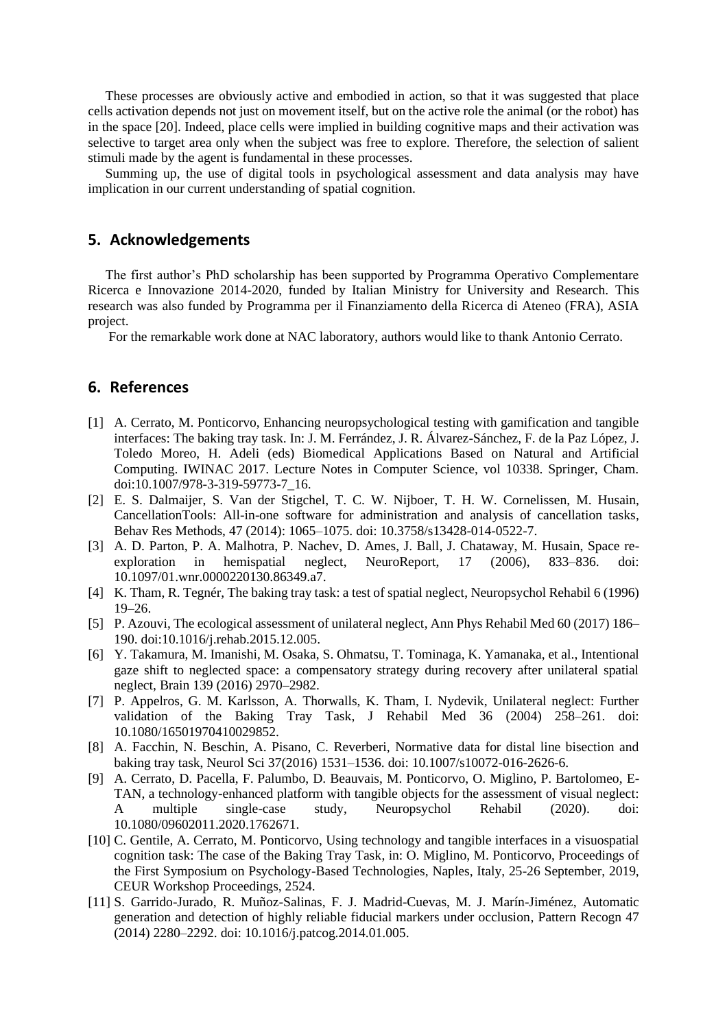These processes are obviously active and embodied in action, so that it was suggested that place cells activation depends not just on movement itself, but on the active role the animal (or the robot) has in the space [20]. Indeed, place cells were implied in building cognitive maps and their activation was selective to target area only when the subject was free to explore. Therefore, the selection of salient stimuli made by the agent is fundamental in these processes.

Summing up, the use of digital tools in psychological assessment and data analysis may have implication in our current understanding of spatial cognition.

## **5. Acknowledgements**

The first author's PhD scholarship has been supported by Programma Operativo Complementare Ricerca e Innovazione 2014-2020, funded by Italian Ministry for University and Research. This research was also funded by Programma per il Finanziamento della Ricerca di Ateneo (FRA), ASIA project.

For the remarkable work done at NAC laboratory, authors would like to thank Antonio Cerrato.

#### **6. References**

- [1] A. Cerrato, M. Ponticorvo, Enhancing neuropsychological testing with gamification and tangible interfaces: The baking tray task. In: J. M. Ferrández, J. R. Álvarez-Sánchez, F. de la Paz López, J. Toledo Moreo, H. Adeli (eds) Biomedical Applications Based on Natural and Artificial Computing. IWINAC 2017. Lecture Notes in Computer Science, vol 10338. Springer, Cham. [doi:10.1007/978-3-319-59773-7\\_16.](https://doi.org/10.1007/978-3-319-59773-7_16)
- [2] E. S. Dalmaijer, S. Van der Stigchel, T. C. W. Nijboer, T. H. W. Cornelissen, M. Husain, CancellationTools: All-in-one software for administration and analysis of cancellation tasks, Behav Res Methods, 47 (2014): 1065–1075. doi: 10.3758/s13428-014-0522-7.
- [3] A. D. Parton, P. A. Malhotra, P. Nachev, D. Ames, J. Ball, J. Chataway, M. Husain, Space reexploration in hemispatial neglect, NeuroReport, 17 (2006), 833–836. doi: 10.1097/01.wnr.0000220130.86349.a7.
- [4] K. Tham, R. Tegnér, The baking tray task: a test of spatial neglect, Neuropsychol Rehabil 6 (1996) 19–26.
- [5] P. Azouvi, The ecological assessment of unilateral neglect, Ann Phys Rehabil Med 60 (2017) 186– 190. [doi:10.1016/j.rehab.2015.12.005.](https://doi.org/10.1016/j.rehab.2015.12.005)
- [6] Y. Takamura, M. Imanishi, M. Osaka, S. Ohmatsu, T. Tominaga, K. Yamanaka, et al., Intentional gaze shift to neglected space: a compensatory strategy during recovery after unilateral spatial neglect, Brain 139 (2016) 2970–2982.
- [7] P. Appelros, G. M. Karlsson, A. Thorwalls, K. Tham, I. Nydevik, Unilateral neglect: Further validation of the Baking Tray Task, J Rehabil Med 36 (2004) 258–261. doi: 10.1080/16501970410029852.
- [8] A. Facchin, N. Beschin, A. Pisano, C. Reverberi, Normative data for distal line bisection and baking tray task, Neurol Sci 37(2016) 1531–1536. doi: 10.1007/s10072-016-2626-6.
- [9] A. Cerrato, D. Pacella, F. Palumbo, D. Beauvais, M. Ponticorvo, O. Miglino, P. Bartolomeo, E-TAN, a technology-enhanced platform with tangible objects for the assessment of visual neglect: A multiple single-case study, Neuropsychol Rehabil (2020). doi: 10.1080/09602011.2020.1762671.
- [10] C. Gentile, A. Cerrato, M. Ponticorvo, Using technology and tangible interfaces in a visuospatial cognition task: The case of the Baking Tray Task, in: O. Miglino, M. Ponticorvo, Proceedings of the First Symposium on Psychology-Based Technologies, Naples, Italy, 25-26 September, 2019, CEUR Workshop Proceedings, 2524.
- [11] S. Garrido-Jurado, R. Muñoz-Salinas, F. J. Madrid-Cuevas, M. J. Marín-Jiménez, Automatic generation and detection of highly reliable fiducial markers under occlusion, Pattern Recogn 47 (2014) 2280–2292. doi: 10.1016/j.patcog.2014.01.005.